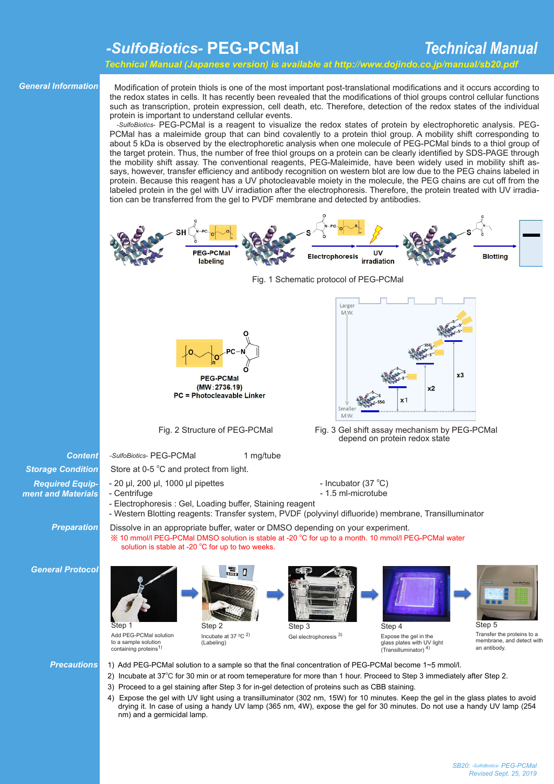# *-SulfoBiotics-* **PEG-PCMal**

## *Technical Manual*

 *Technical Manual (Japanese version) is available at http://www.dojindo.co.jp/manual/sb20.pdf*

#### *General Information*

 Modification of protein thiols is one of the most important post-translational modifications and it occurs according to the redox states in cells. It has recently been revealed that the modifications of thiol groups control cellular functions such as transcription, protein expression, cell death, etc. Therefore, detection of the redox states of the individual protein is important to understand cellular events.

 -*SulfoBiotics*- PEG-PCMal is a reagent to visualize the redox states of protein by electrophoretic analysis. PEG-PCMal has a maleimide group that can bind covalently to a protein thiol group. A mobility shift corresponding to about 5 kDa is observed by the electrophoretic analysis when one molecule of PEG-PCMal binds to a thiol group of the target protein. Thus, the number of free thiol groups on a protein can be clearly identified by SDS-PAGE through the mobility shift assay. The conventional reagents, PEG-Maleimide, have been widely used in mobility shift assays, however, transfer efficiency and antibody recognition on western blot are low due to the PEG chains labeled in protein. Because this reagent has a UV photocleavable moiety in the molecule, the PEG chains are cut off from the labeled protein in the gel with UV irradiation after the electrophoresis. Therefore, the protein treated with UV irradiation can be transferred from the gel to PVDF membrane and detected by antibodies.







 $(MW: 2736.19)$ PC = Photocleavable Linker

Fig. 2 Structure of PEG-PCMal



Fig. 3 Gel shift assay mechanism by PEG-PCMal depend on protein redox state

- Incubator (37 °C)

**Content** -*SulfoBiotics*- PEG-PCMal 1 mg/tube

Store at 0-5 °C and protect from light.

solution is stable at -20  $^{\circ}$ C for up to two weeks.

- $-$  20  $\mu$ l, 200  $\mu$ l, 1000  $\mu$ l pipettes
- Centrifuge **Contrigue 1.5 ml** 1.5 ml microtube
- Electrophoresis : Gel, Loading buffer, Staining reagent

Dissolve in an appropriate buffer, water or DMSO depending on your experiment.

- Western Blotting reagents: Transfer system, PVDF (polyvinyl difluoride) membrane, Transilluminator

※ 10 mmol/l PEG-PCMal DMSO solution is stable at -20 °C for up to a month. 10 mmol/l PEG-PCMal water

*Preparation*

*General Protocol* 

*Storage Condition Required Equipment and Materials*



- *Precautions* 1) Add PEG-PCMal solution to a sample so that the final concentration of PEG-PCMal become 1~5 mmol/l.
	- 2) Incubate at 37°C for 30 min or at room temeperature for more than 1 hour. Proceed to Step 3 immediately after Step 2.
	- 3) Proceed to a gel staining after Step 3 for in-gel detection of proteins such as CBB staining.
	- 4) Expose the gel with UV light using a transilluminator (302 nm, 15W) for 10 minutes. Keep the gel in the glass plates to avoid drying it. In case of using a handy UV lamp (365 nm, 4W), expose the gel for 30 minutes. Do not use a handy UV lamp (254 nm) and a germicidal lamp.